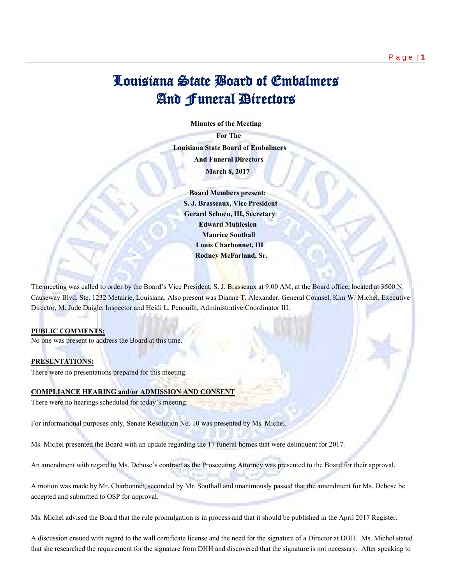# Louisiana State Board of Embalmers And Funeral Directors

 **Minutes of the Meeting**

 **For The Louisiana State Board of Embalmers And Funeral Directors March 8, 2017**

 **Board Members present: S. J. Brasseaux, Vice President Gerard Schoen, III, Secretary Edward Muhlesien Maurice Southall Louis Charbonnet, III Rodney McFarland, Sr.**

The meeting was called to order by the Board's Vice President, S. J. Brasseaux at 9:00 AM, at the Board office, located at 3500 N. Causeway Blvd. Ste. 1232 Metairie, Louisiana. Also present was Dianne T. Alexander, General Counsel, Kim W. Michel, Executive Director, M. Jude Daigle, Inspector and Heidi L. Penouilh, Administrative Coordinator III.

## **PUBLIC COMMENTS:**

No one was present to address the Board at this time.

# **PRESENTATIONS:**

There were no presentations prepared for this meeting.

## **COMPLIANCE HEARING and/or ADMISSION AND CONSENT**

There were no hearings scheduled for today's meeting.

For informational purposes only, Senate Resolution No. 10 was presented by Ms. Michel.

Ms. Michel presented the Board with an update regarding the 17 funeral homes that were delinquent for 2017.

An amendment with regard to Ms. Debose's contract as the Prosecuting Attorney was presented to the Board for their approval.

A motion was made by Mr. Charbonnet, seconded by Mr. Southall and unanimously passed that the amendment for Ms. Debose be accepted and submitted to OSP for approval.

Ms. Michel advised the Board that the rule promulgation is in process and that it should be published in the April 2017 Register.

A discussion ensued with regard to the wall certificate license and the need for the signature of a Director at DHH. Ms. Michel stated that she researched the requirement for the signature from DHH and discovered that the signature is not necessary. After speaking to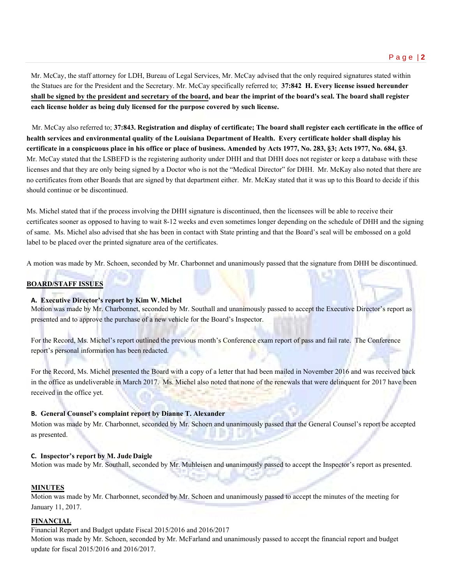Mr. McCay, the staff attorney for LDH, Bureau of Legal Services, Mr. McCay advised that the only required signatures stated within the Statues are for the President and the Secretary. Mr. McCay specifically referred to; **37:842 H. Every license issued hereunder shall be signed by the president and secretary of the board, and bear the imprint of the board's seal. The board shall register each license holder as being duly licensed for the purpose covered by such license.**

 Mr. McCay also referred to; **37:843. Registration and display of certificate; The board shall register each certificate in the office of health services and environmental quality of the Louisiana Department of Health. Every certificate holder shall display his certificate in a conspicuous place in his office or place of business. Amended by Acts 1977, No. 283, §3; Acts 1977, No. 684, §3**. Mr. McCay stated that the LSBEFD is the registering authority under DHH and that DHH does not register or keep a database with these licenses and that they are only being signed by a Doctor who is not the "Medical Director" for DHH. Mr. McKay also noted that there are no certificates from other Boards that are signed by that department either. Mr. McKay stated that it was up to this Board to decide if this should continue or be discontinued.

Ms. Michel stated that if the process involving the DHH signature is discontinued, then the licensees will be able to receive their certificates sooner as opposed to having to wait 8-12 weeks and even sometimes longer depending on the schedule of DHH and the signing of same. Ms. Michel also advised that she has been in contact with State printing and that the Board's seal will be embossed on a gold label to be placed over the printed signature area of the certificates.

A motion was made by Mr. Schoen, seconded by Mr. Charbonnet and unanimously passed that the signature from DHH be discontinued.

# **BOARD/STAFF ISSUES**

## **A. Executive Director's report by Kim W.Michel**

Motion was made by Mr. Charbonnet, seconded by Mr. Southall and unanimously passed to accept the Executive Director's report as presented and to approve the purchase of a new vehicle for the Board's Inspector.

For the Record, Ms. Michel's report outlined the previous month's Conference exam report of pass and fail rate. The Conference report's personal information has been redacted.

For the Record, Ms. Michel presented the Board with a copy of a letter that had been mailed in November 2016 and was received back in the office as undeliverable in March 2017. Ms. Michel also noted that none of the renewals that were delinquent for 2017 have been received in the office yet.

#### **B. General Counsel's complaint report by Dianne T. Alexander**

Motion was made by Mr. Charbonnet, seconded by Mr. Schoen and unanimously passed that the General Counsel's report be accepted as presented.

#### **C. Inspector's report by M. JudeDaigle**

Motion was made by Mr. Southall, seconded by Mr. Muhleisen and unanimously passed to accept the Inspector's report as presented.

#### **MINUTES**

Motion was made by Mr. Charbonnet, seconded by Mr. Schoen and unanimously passed to accept the minutes of the meeting for January 11, 2017.

## **FINANCIAL**

Financial Report and Budget update Fiscal 2015/2016 and 2016/2017

Motion was made by Mr. Schoen, seconded by Mr. McFarland and unanimously passed to accept the financial report and budget update for fiscal 2015/2016 and 2016/2017.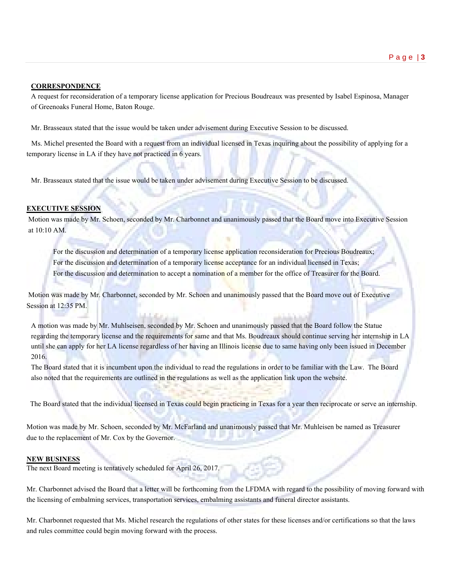#### **CORRESPONDENCE**

A request for reconsideration of a temporary license application for Precious Boudreaux was presented by Isabel Espinosa, Manager of Greenoaks Funeral Home, Baton Rouge.

Mr. Brasseaux stated that the issue would be taken under advisement during Executive Session to be discussed.

 Ms. Michel presented the Board with a request from an individual licensed in Texas inquiring about the possibility of applying for a temporary license in LA if they have not practiced in 6 years.

Mr. Brasseaux stated that the issue would be taken under advisement during Executive Session to be discussed.

### **EXECUTIVE SESSION**

Motion was made by Mr. Schoen, seconded by Mr. Charbonnet and unanimously passed that the Board move into Executive Session at 10:10 AM.

For the discussion and determination of a temporary license application reconsideration for Precious Boudreaux; For the discussion and determination of a temporary license acceptance for an individual licensed in Texas; For the discussion and determination to accept a nomination of a member for the office of Treasurer for the Board.

Motion was made by Mr. Charbonnet, seconded by Mr. Schoen and unanimously passed that the Board move out of Executive Session at 12:35 PM.

A motion was made by Mr. Muhlseisen, seconded by Mr. Schoen and unanimously passed that the Board follow the Statue regarding the temporary license and the requirements for same and that Ms. Boudreaux should continue serving her internship in LA until she can apply for her LA license regardless of her having an Illinois license due to same having only been issued in December 2016.

The Board stated that it is incumbent upon the individual to read the regulations in order to be familiar with the Law. The Board also noted that the requirements are outlined in the regulations as well as the application link upon the website.

The Board stated that the individual licensed in Texas could begin practicing in Texas for a year then reciprocate or serve an internship.

Motion was made by Mr. Schoen, seconded by Mr. McFarland and unanimously passed that Mr. Muhleisen be named as Treasurer due to the replacement of Mr. Cox by the Governor.

#### **NEW BUSINESS**

The next Board meeting is tentatively scheduled for April 26, 2017.

Mr. Charbonnet advised the Board that a letter will be forthcoming from the LFDMA with regard to the possibility of moving forward with the licensing of embalming services, transportation services, embalming assistants and funeral director assistants.

Mr. Charbonnet requested that Ms. Michel research the regulations of other states for these licenses and/or certifications so that the laws and rules committee could begin moving forward with the process.